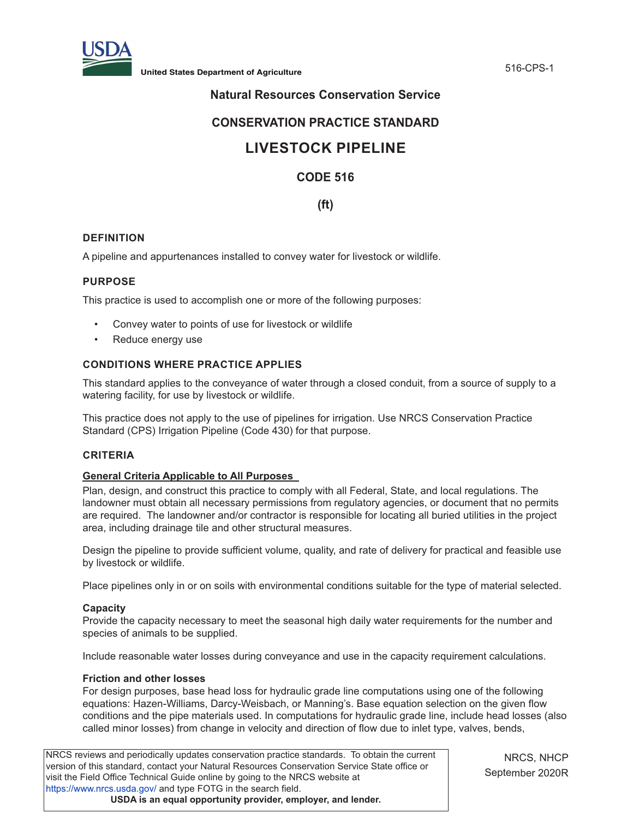

# **Natural Resources Conservation Service**

# **CONSERVATION PRACTICE STANDARD**

# **LIVESTOCK PIPELINE**

# **CODE 516**

# **(ft)**

# **DEFINITION**

A pipeline and appurtenances installed to convey water for livestock or wildlife.

#### **PURPOSE**

This practice is used to accomplish one or more of the following purposes:

- Convey water to points of use for livestock or wildlife
- Reduce energy use

# **CONDITIONS WHERE PRACTICE APPLIES**

This standard applies to the conveyance of water through a closed conduit, from a source of supply to a watering facility, for use by livestock or wildlife.

This practice does not apply to the use of pipelines for irrigation. Use NRCS Conservation Practice Standard (CPS) Irrigation Pipeline (Code 430) for that purpose.

#### **CRITERIA**

#### **General Criteria Applicable to All Purposes**

Plan, design, and construct this practice to comply with all Federal, State, and local regulations. The landowner must obtain all necessary permissions from regulatory agencies, or document that no permits are required. The landowner and/or contractor is responsible for locating all buried utilities in the project area, including drainage tile and other structural measures.

Design the pipeline to provide sufficient volume, quality, and rate of delivery for practical and feasible use by livestock or wildlife.

Place pipelines only in or on soils with environmental conditions suitable for the type of material selected.

#### **Capacity**

Provide the capacity necessary to meet the seasonal high daily water requirements for the number and species of animals to be supplied.

Include reasonable water losses during conveyance and use in the capacity requirement calculations.

#### **Friction and other losses**

For design purposes, base head loss for hydraulic grade line computations using one of the following equations: Hazen-Williams, Darcy-Weisbach, or Manning's. Base equation selection on the given flow conditions and the pipe materials used. In computations for hydraulic grade line, include head losses (also called minor losses) from change in velocity and direction of flow due to inlet type, valves, bends,

NRCS reviews and periodically updates conservation practice standards. To obtain the current version of this standard, contact your Natural Resources Conservation Service State office or visit the Field Office Technical Guide online by going to the NRCS website at <https://www.nrcs.usda.gov/>and type FOTG in the search field. **USDA is an equal opportunity provider, employer, and lender.**

NRCS, NHCP September 2020R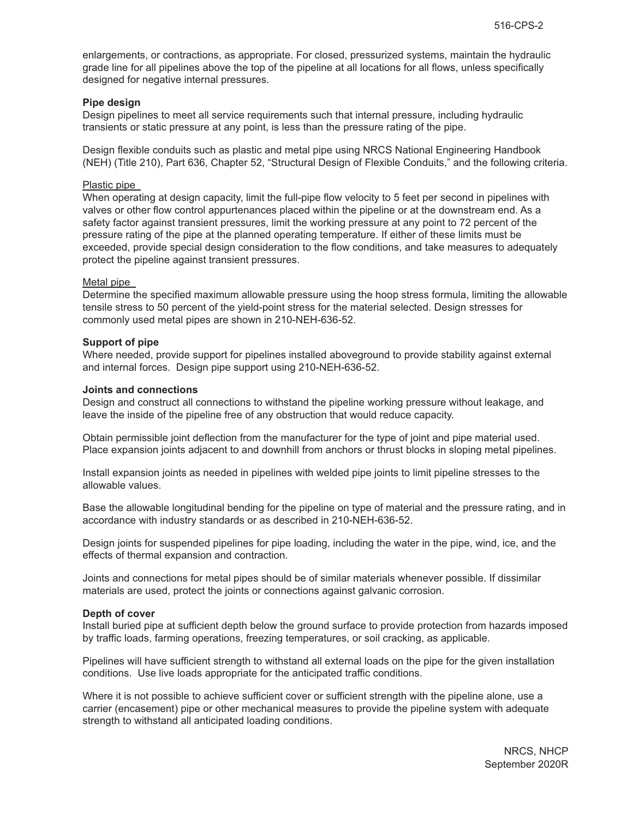enlargements, or contractions, as appropriate. For closed, pressurized systems, maintain the hydraulic grade line for all pipelines above the top of the pipeline at all locations for all flows, unless specifically designed for negative internal pressures.

#### **Pipe design**

Design pipelines to meet all service requirements such that internal pressure, including hydraulic transients or static pressure at any point, is less than the pressure rating of the pipe.

Design flexible conduits such as plastic and metal pipe using NRCS National Engineering Handbook (NEH) (Title 210), Part 636, Chapter 52, "Structural Design of Flexible Conduits," and the following criteria.

#### Plastic pipe

When operating at design capacity, limit the full-pipe flow velocity to 5 feet per second in pipelines with valves or other flow control appurtenances placed within the pipeline or at the downstream end. As a safety factor against transient pressures, limit the working pressure at any point to 72 percent of the pressure rating of the pipe at the planned operating temperature. If either of these limits must be exceeded, provide special design consideration to the flow conditions, and take measures to adequately protect the pipeline against transient pressures.

#### Metal pipe

Determine the specified maximum allowable pressure using the hoop stress formula, limiting the allowable tensile stress to 50 percent of the yield-point stress for the material selected. Design stresses for commonly used metal pipes are shown in 210-NEH-636-52.

#### **Support of pipe**

Where needed, provide support for pipelines installed aboveground to provide stability against external and internal forces. Design pipe support using 210-NEH-636-52.

#### **Joints and connections**

Design and construct all connections to withstand the pipeline working pressure without leakage, and leave the inside of the pipeline free of any obstruction that would reduce capacity.

Obtain permissible joint deflection from the manufacturer for the type of joint and pipe material used. Place expansion joints adjacent to and downhill from anchors or thrust blocks in sloping metal pipelines.

Install expansion joints as needed in pipelines with welded pipe joints to limit pipeline stresses to the allowable values.

Base the allowable longitudinal bending for the pipeline on type of material and the pressure rating, and in accordance with industry standards or as described in 210-NEH-636-52.

Design joints for suspended pipelines for pipe loading, including the water in the pipe, wind, ice, and the effects of thermal expansion and contraction.

Joints and connections for metal pipes should be of similar materials whenever possible. If dissimilar materials are used, protect the joints or connections against galvanic corrosion.

#### **Depth of cover**

Install buried pipe at sufficient depth below the ground surface to provide protection from hazards imposed by traffic loads, farming operations, freezing temperatures, or soil cracking, as applicable.

Pipelines will have sufficient strength to withstand all external loads on the pipe for the given installation conditions. Use live loads appropriate for the anticipated traffic conditions.

Where it is not possible to achieve sufficient cover or sufficient strength with the pipeline alone, use a carrier (encasement) pipe or other mechanical measures to provide the pipeline system with adequate strength to withstand all anticipated loading conditions.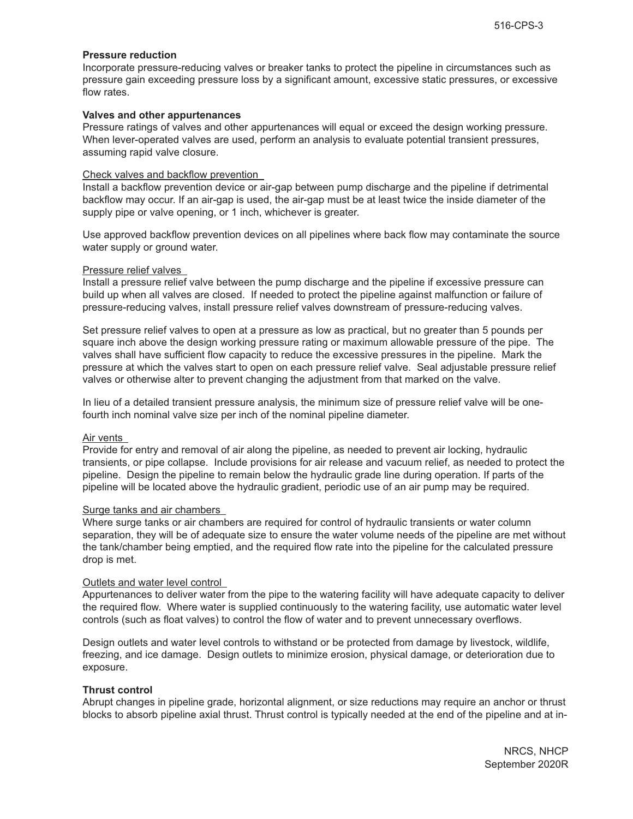#### **Pressure reduction**

Incorporate pressure-reducing valves or breaker tanks to protect the pipeline in circumstances such as pressure gain exceeding pressure loss by a significant amount, excessive static pressures, or excessive flow rates.

#### **Valves and other appurtenances**

Pressure ratings of valves and other appurtenances will equal or exceed the design working pressure. When lever-operated valves are used, perform an analysis to evaluate potential transient pressures, assuming rapid valve closure.

#### Check valves and backflow prevention

Install a backflow prevention device or air-gap between pump discharge and the pipeline if detrimental backflow may occur. If an air-gap is used, the air-gap must be at least twice the inside diameter of the supply pipe or valve opening, or 1 inch, whichever is greater.

Use approved backflow prevention devices on all pipelines where back flow may contaminate the source water supply or ground water.

#### Pressure relief valves

Install a pressure relief valve between the pump discharge and the pipeline if excessive pressure can build up when all valves are closed. If needed to protect the pipeline against malfunction or failure of pressure-reducing valves, install pressure relief valves downstream of pressure-reducing valves.

Set pressure relief valves to open at a pressure as low as practical, but no greater than 5 pounds per square inch above the design working pressure rating or maximum allowable pressure of the pipe. The valves shall have sufficient flow capacity to reduce the excessive pressures in the pipeline. Mark the pressure at which the valves start to open on each pressure relief valve. Seal adjustable pressure relief valves or otherwise alter to prevent changing the adjustment from that marked on the valve.

In lieu of a detailed transient pressure analysis, the minimum size of pressure relief valve will be onefourth inch nominal valve size per inch of the nominal pipeline diameter.

#### Air vents

Provide for entry and removal of air along the pipeline, as needed to prevent air locking, hydraulic transients, or pipe collapse. Include provisions for air release and vacuum relief, as needed to protect the pipeline. Design the pipeline to remain below the hydraulic grade line during operation. If parts of the pipeline will be located above the hydraulic gradient, periodic use of an air pump may be required.

#### Surge tanks and air chambers

Where surge tanks or air chambers are required for control of hydraulic transients or water column separation, they will be of adequate size to ensure the water volume needs of the pipeline are met without the tank/chamber being emptied, and the required flow rate into the pipeline for the calculated pressure drop is met.

#### Outlets and water level control

Appurtenances to deliver water from the pipe to the watering facility will have adequate capacity to deliver the required flow. Where water is supplied continuously to the watering facility, use automatic water level controls (such as float valves) to control the flow of water and to prevent unnecessary overflows.

Design outlets and water level controls to withstand or be protected from damage by livestock, wildlife, freezing, and ice damage. Design outlets to minimize erosion, physical damage, or deterioration due to exposure.

#### **Thrust control**

Abrupt changes in pipeline grade, horizontal alignment, or size reductions may require an anchor or thrust blocks to absorb pipeline axial thrust. Thrust control is typically needed at the end of the pipeline and at in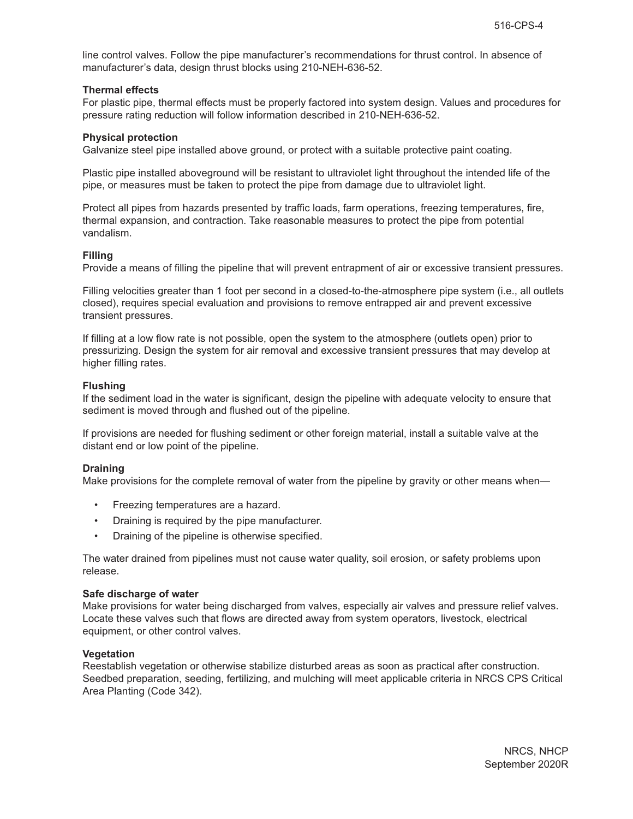line control valves. Follow the pipe manufacturer's recommendations for thrust control. In absence of manufacturer's data, design thrust blocks using 210-NEH-636-52.

#### **Thermal effects**

For plastic pipe, thermal effects must be properly factored into system design. Values and procedures for pressure rating reduction will follow information described in 210-NEH-636-52.

#### **Physical protection**

Galvanize steel pipe installed above ground, or protect with a suitable protective paint coating.

Plastic pipe installed aboveground will be resistant to ultraviolet light throughout the intended life of the pipe, or measures must be taken to protect the pipe from damage due to ultraviolet light.

Protect all pipes from hazards presented by traffic loads, farm operations, freezing temperatures, fire, thermal expansion, and contraction. Take reasonable measures to protect the pipe from potential vandalism.

#### **Filling**

Provide a means of filling the pipeline that will prevent entrapment of air or excessive transient pressures.

Filling velocities greater than 1 foot per second in a closed-to-the-atmosphere pipe system (i.e., all outlets closed), requires special evaluation and provisions to remove entrapped air and prevent excessive transient pressures.

If filling at a low flow rate is not possible, open the system to the atmosphere (outlets open) prior to pressurizing. Design the system for air removal and excessive transient pressures that may develop at higher filling rates.

#### **Flushing**

If the sediment load in the water is significant, design the pipeline with adequate velocity to ensure that sediment is moved through and flushed out of the pipeline.

If provisions are needed for flushing sediment or other foreign material, install a suitable valve at the distant end or low point of the pipeline.

#### **Draining**

Make provisions for the complete removal of water from the pipeline by gravity or other means when—

- Freezing temperatures are a hazard.
- Draining is required by the pipe manufacturer.
- Draining of the pipeline is otherwise specified.

The water drained from pipelines must not cause water quality, soil erosion, or safety problems upon release.

#### **Safe discharge of water**

Make provisions for water being discharged from valves, especially air valves and pressure relief valves. Locate these valves such that flows are directed away from system operators, livestock, electrical equipment, or other control valves.

#### **Vegetation**

Reestablish vegetation or otherwise stabilize disturbed areas as soon as practical after construction. Seedbed preparation, seeding, fertilizing, and mulching will meet applicable criteria in NRCS CPS Critical Area Planting (Code 342).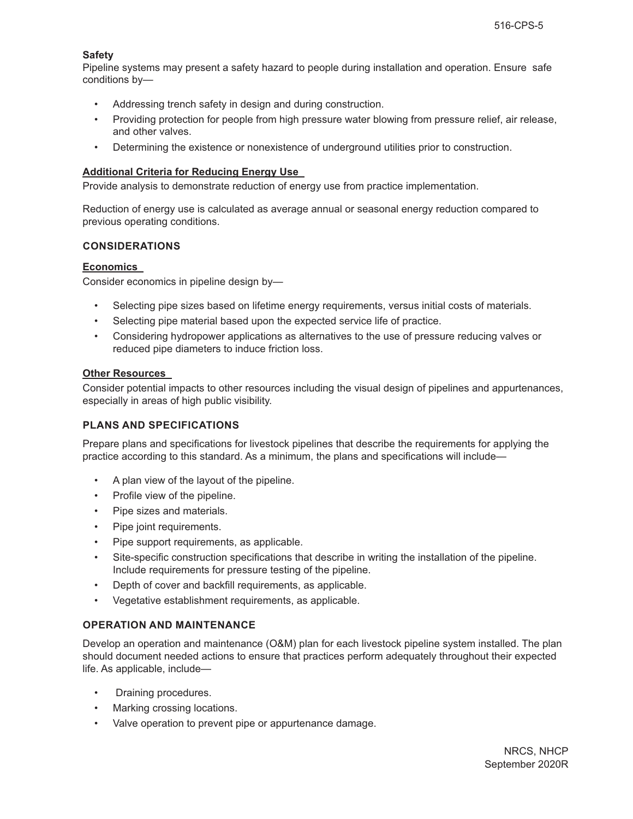# **Safety**

Pipeline systems may present a safety hazard to people during installation and operation. Ensure safe conditions by—

- Addressing trench safety in design and during construction.
- Providing protection for people from high pressure water blowing from pressure relief, air release, and other valves.
- Determining the existence or nonexistence of underground utilities prior to construction.

#### **Additional Criteria for Reducing Energy Use**

Provide analysis to demonstrate reduction of energy use from practice implementation.

Reduction of energy use is calculated as average annual or seasonal energy reduction compared to previous operating conditions.

# **CONSIDERATIONS**

# **Economics**

Consider economics in pipeline design by—

- Selecting pipe sizes based on lifetime energy requirements, versus initial costs of materials.
- Selecting pipe material based upon the expected service life of practice.
- Considering hydropower applications as alternatives to the use of pressure reducing valves or reduced pipe diameters to induce friction loss.

# **Other Resources**

Consider potential impacts to other resources including the visual design of pipelines and appurtenances, especially in areas of high public visibility.

#### **PLANS AND SPECIFICATIONS**

Prepare plans and specifications for livestock pipelines that describe the requirements for applying the practice according to this standard. As a minimum, the plans and specifications will include—

- A plan view of the layout of the pipeline.
- Profile view of the pipeline.
- Pipe sizes and materials.
- Pipe joint requirements.
- Pipe support requirements, as applicable.
- Site-specific construction specifications that describe in writing the installation of the pipeline. Include requirements for pressure testing of the pipeline.
- Depth of cover and backfill requirements, as applicable.
- Vegetative establishment requirements, as applicable.

# **OPERATION AND MAINTENANCE**

Develop an operation and maintenance (O&M) plan for each livestock pipeline system installed. The plan should document needed actions to ensure that practices perform adequately throughout their expected life. As applicable, include—

- Draining procedures.
- Marking crossing locations.
- Valve operation to prevent pipe or appurtenance damage.